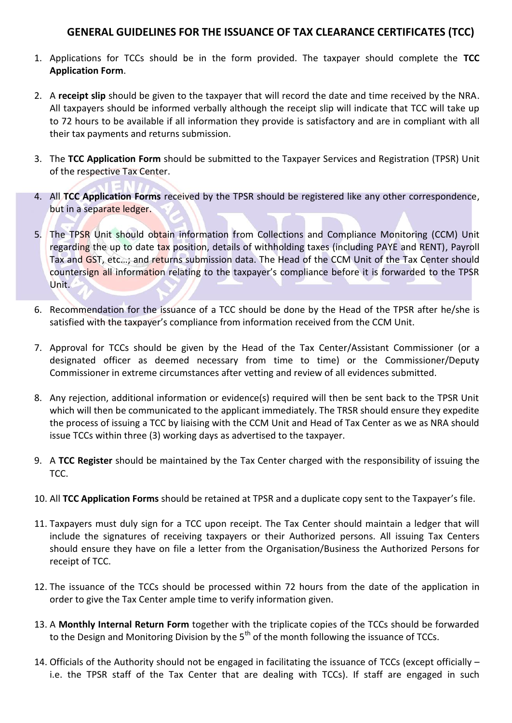## **GENERAL GUIDELINES FOR THE ISSUANCE OF TAX CLEARANCE CERTIFICATES (TCC)**

- 1. Applications for TCCs should be in the form provided. The taxpayer should complete the **TCC Application Form**.
- 2. A **receipt slip** should be given to the taxpayer that will record the date and time received by the NRA. All taxpayers should be informed verbally although the receipt slip will indicate that TCC will take up to 72 hours to be available if all information they provide is satisfactory and are in compliant with all their tax payments and returns submission.
- 3. The **TCC Application Form** should be submitted to the Taxpayer Services and Registration (TPSR) Unit of the respective Tax Center.
- 4. All **TCC Application Forms** received by the TPSR should be registered like any other correspondence, but in a separate ledger.
- 5. The TPSR Unit should obtain information from Collections and Compliance Monitoring (CCM) Unit regarding the up to date tax position, details of withholding taxes (including PAYE and RENT), Payroll Tax and GST, etc...; and returns submission data. The Head of the CCM Unit of the Tax Center should countersign all information relating to the taxpayer's compliance before it is forwarded to the TPSR Unit.
- 6. Recommendation for the issuance of a TCC should be done by the Head of the TPSR after he/she is satisfied with the taxpayer's compliance from information received from the CCM Unit.
- 7. Approval for TCCs should be given by the Head of the Tax Center/Assistant Commissioner (or a designated officer as deemed necessary from time to time) or the Commissioner/Deputy Commissioner in extreme circumstances after vetting and review of all evidences submitted.
- 8. Any rejection, additional information or evidence(s) required will then be sent back to the TPSR Unit which will then be communicated to the applicant immediately. The TRSR should ensure they expedite the process of issuing a TCC by liaising with the CCM Unit and Head of Tax Center as we as NRA should issue TCCs within three (3) working days as advertised to the taxpayer.
- 9. A **TCC Register** should be maintained by the Tax Center charged with the responsibility of issuing the TCC.
- 10. All **TCC Application Forms** should be retained at TPSR and a duplicate copy sent to the Taxpayer's file.
- 11. Taxpayers must duly sign for a TCC upon receipt. The Tax Center should maintain a ledger that will include the signatures of receiving taxpayers or their Authorized persons. All issuing Tax Centers should ensure they have on file a letter from the Organisation/Business the Authorized Persons for receipt of TCC.
- 12. The issuance of the TCCs should be processed within 72 hours from the date of the application in order to give the Tax Center ample time to verify information given.
- 13. A **Monthly Internal Return Form** together with the triplicate copies of the TCCs should be forwarded to the Design and Monitoring Division by the  $5<sup>th</sup>$  of the month following the issuance of TCCs.
- 14. Officials of the Authority should not be engaged in facilitating the issuance of TCCs (except officially i.e. the TPSR staff of the Tax Center that are dealing with TCCs). If staff are engaged in such